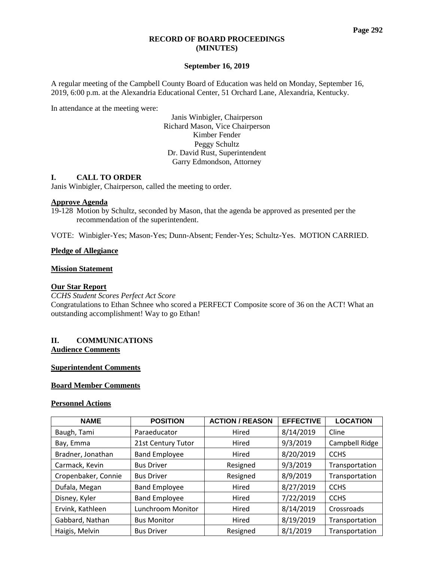#### **RECORD OF BOARD PROCEEDINGS (MINUTES)**

## **September 16, 2019**

A regular meeting of the Campbell County Board of Education was held on Monday, September 16, 2019, 6:00 p.m. at the Alexandria Educational Center, 51 Orchard Lane, Alexandria, Kentucky.

In attendance at the meeting were:

Janis Winbigler, Chairperson Richard Mason, Vice Chairperson Kimber Fender Peggy Schultz Dr. David Rust, Superintendent Garry Edmondson, Attorney

## **I. CALL TO ORDER**

Janis Winbigler, Chairperson, called the meeting to order.

#### **Approve Agenda**

19-128 Motion by Schultz, seconded by Mason, that the agenda be approved as presented per the recommendation of the superintendent.

VOTE: Winbigler-Yes; Mason-Yes; Dunn-Absent; Fender-Yes; Schultz-Yes. MOTION CARRIED.

## **Pledge of Allegiance**

## **Mission Statement**

#### **Our Star Report**

*CCHS Student Scores Perfect Act Score* Congratulations to Ethan Schnee who scored a PERFECT Composite score of 36 on the ACT! What an outstanding accomplishment! Way to go Ethan!

## **II. COMMUNICATIONS Audience Comments**

#### **Superintendent Comments**

# **Board Member Comments**

### **Personnel Actions**

| <b>NAME</b>         | <b>POSITION</b>      | <b>ACTION / REASON</b> | <b>EFFECTIVE</b> | <b>LOCATION</b> |
|---------------------|----------------------|------------------------|------------------|-----------------|
| Baugh, Tami         | Paraeducator         | Hired                  | 8/14/2019        | Cline           |
| Bay, Emma           | 21st Century Tutor   | 9/3/2019<br>Hired      |                  | Campbell Ridge  |
| Bradner, Jonathan   | <b>Band Employee</b> | 8/20/2019<br>Hired     |                  | <b>CCHS</b>     |
| Carmack, Kevin      | <b>Bus Driver</b>    | Resigned               | 9/3/2019         | Transportation  |
| Cropenbaker, Connie | <b>Bus Driver</b>    | Resigned               | 8/9/2019         | Transportation  |
| Dufala, Megan       | <b>Band Employee</b> | Hired                  | 8/27/2019        | <b>CCHS</b>     |
| Disney, Kyler       | <b>Band Employee</b> | Hired                  | 7/22/2019        | <b>CCHS</b>     |
| Ervink, Kathleen    | Lunchroom Monitor    |                        | 8/14/2019        | Crossroads      |
| Gabbard, Nathan     | <b>Bus Monitor</b>   | Hired                  | 8/19/2019        | Transportation  |
| Haigis, Melvin      | <b>Bus Driver</b>    | Resigned               | 8/1/2019         | Transportation  |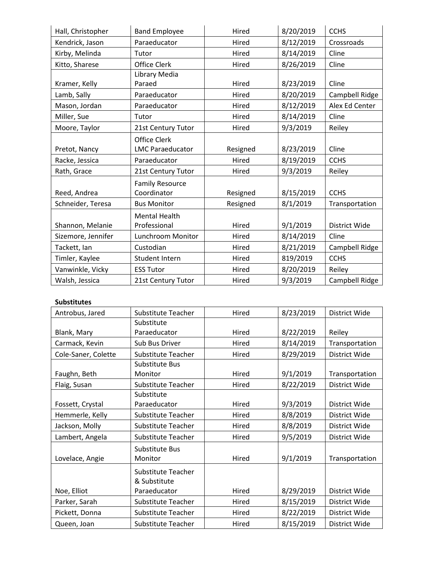| Hall, Christopher  | <b>Band Employee</b>    | Hired                | 8/20/2019 | <b>CCHS</b>    |  |
|--------------------|-------------------------|----------------------|-----------|----------------|--|
| Kendrick, Jason    | Paraeducator<br>Hired   |                      | 8/12/2019 | Crossroads     |  |
| Kirby, Melinda     | Hired<br>Tutor          |                      | 8/14/2019 | Cline          |  |
| Kitto, Sharese     | Office Clerk            | Hired                | 8/26/2019 | Cline          |  |
|                    | Library Media           |                      |           |                |  |
| Kramer, Kelly      | Paraed<br>Hired         |                      | 8/23/2019 | Cline          |  |
| Lamb, Sally        | Paraeducator            | Hired                | 8/20/2019 | Campbell Ridge |  |
| Mason, Jordan      | Paraeducator            | Hired                | 8/12/2019 | Alex Ed Center |  |
| Miller, Sue        | Tutor                   | Hired                | 8/14/2019 | Cline          |  |
| Moore, Taylor      | 21st Century Tutor      | Hired                | 9/3/2019  | Reiley         |  |
|                    | <b>Office Clerk</b>     |                      |           |                |  |
| Pretot, Nancy      | <b>LMC Paraeducator</b> | Resigned             | 8/23/2019 | Cline          |  |
| Racke, Jessica     | Paraeducator            | Hired                | 8/19/2019 | <b>CCHS</b>    |  |
| Rath, Grace        | 21st Century Tutor      | 9/3/2019<br>Hired    |           | Reiley         |  |
|                    | <b>Family Resource</b>  |                      |           |                |  |
| Reed, Andrea       | Coordinator             | Resigned             | 8/15/2019 | <b>CCHS</b>    |  |
| Schneider, Teresa  | <b>Bus Monitor</b>      | Resigned<br>8/1/2019 |           | Transportation |  |
|                    | <b>Mental Health</b>    |                      |           |                |  |
| Shannon, Melanie   | Professional            | Hired                | 9/1/2019  | District Wide  |  |
| Sizemore, Jennifer | Lunchroom Monitor       | 8/14/2019<br>Hired   |           | Cline          |  |
| Tackett, Ian       | Custodian               | Hired                | 8/21/2019 | Campbell Ridge |  |
| Timler, Kaylee     | Student Intern          | Hired                | 819/2019  | <b>CCHS</b>    |  |
| Vanwinkle, Vicky   | <b>ESS Tutor</b>        | Hired                | 8/20/2019 | Reiley         |  |
| Walsh, Jessica     | 21st Century Tutor      | Hired                | 9/3/2019  | Campbell Ridge |  |

# **Substitutes**

| Antrobus, Jared     | Substitute Teacher        | Hired              |           | District Wide  |  |
|---------------------|---------------------------|--------------------|-----------|----------------|--|
|                     | Substitute                |                    |           |                |  |
| Blank, Mary         | Paraeducator<br>Hired     |                    | 8/22/2019 | Reiley         |  |
| Carmack, Kevin      | Sub Bus Driver<br>Hired   |                    | 8/14/2019 | Transportation |  |
| Cole-Saner, Colette | Substitute Teacher        | 8/29/2019<br>Hired |           | District Wide  |  |
|                     | Substitute Bus            |                    |           |                |  |
| Faughn, Beth        | Monitor                   | Hired              | 9/1/2019  | Transportation |  |
| Flaig, Susan        | Substitute Teacher        | Hired              | 8/22/2019 | District Wide  |  |
|                     | Substitute                |                    |           |                |  |
| Fossett, Crystal    | Paraeducator              | Hired              | 9/3/2019  | District Wide  |  |
| Hemmerle, Kelly     | <b>Substitute Teacher</b> | Hired              | 8/8/2019  | District Wide  |  |
| Jackson, Molly      | Substitute Teacher        | Hired              | 8/8/2019  | District Wide  |  |
| Lambert, Angela     | Substitute Teacher        | Hired              | 9/5/2019  | District Wide  |  |
|                     | Substitute Bus            |                    |           |                |  |
| Lovelace, Angie     | Monitor                   | Hired              | 9/1/2019  | Transportation |  |
|                     | Substitute Teacher        |                    |           |                |  |
|                     | & Substitute              |                    |           |                |  |
| Noe, Elliot         | Paraeducator              | Hired              | 8/29/2019 | District Wide  |  |
| Parker, Sarah       | Substitute Teacher        | Hired              | 8/15/2019 | District Wide  |  |
| Pickett, Donna      | Substitute Teacher        | Hired              | 8/22/2019 | District Wide  |  |
| Queen, Joan         | Substitute Teacher        | Hired              | 8/15/2019 | District Wide  |  |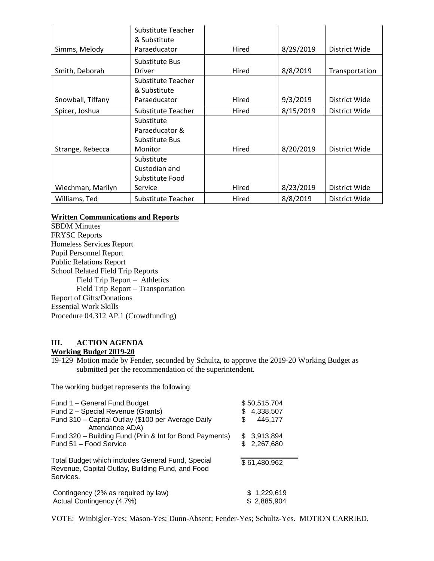|                   | Substitute Teacher |       |           |                |
|-------------------|--------------------|-------|-----------|----------------|
|                   | & Substitute       |       |           |                |
| Simms, Melody     | Paraeducator       | Hired | 8/29/2019 | District Wide  |
|                   | Substitute Bus     |       |           |                |
| Smith, Deborah    | Hired<br>Driver    |       | 8/8/2019  | Transportation |
|                   | Substitute Teacher |       |           |                |
|                   | & Substitute       |       |           |                |
| Snowball, Tiffany | Paraeducator       | Hired | 9/3/2019  | District Wide  |
| Spicer, Joshua    | Substitute Teacher | Hired | 8/15/2019 | District Wide  |
|                   | Substitute         |       |           |                |
|                   | Paraeducator &     |       |           |                |
|                   | Substitute Bus     |       |           |                |
| Strange, Rebecca  | Monitor            | Hired | 8/20/2019 | District Wide  |
|                   | Substitute         |       |           |                |
|                   | Custodian and      |       |           |                |
|                   | Substitute Food    |       |           |                |
| Wiechman, Marilyn | Service            | Hired | 8/23/2019 | District Wide  |
| Williams, Ted     | Substitute Teacher | Hired | 8/8/2019  | District Wide  |

# **Written Communications and Reports**

SBDM Minutes FRYSC Reports Homeless Services Report Pupil Personnel Report Public Relations Report School Related Field Trip Reports Field Trip Report – Athletics Field Trip Report – Transportation Report of Gifts/Donations Essential Work Skills Procedure 04.312 AP.1 (Crowdfunding)

# **III. ACTION AGENDA**

# **Working Budget 2019-20**

19-129 Motion made by Fender, seconded by Schultz, to approve the 2019-20 Working Budget as submitted per the recommendation of the superintendent.

The working budget represents the following:

| Fund 1 - General Fund Budget<br>Fund 2 - Special Revenue (Grants)<br>Fund 310 - Capital Outlay (\$100 per Average Daily<br>Attendance ADA) | \$50,515,704<br>4,338,507<br>\$<br>445,177<br>\$ |
|--------------------------------------------------------------------------------------------------------------------------------------------|--------------------------------------------------|
| Fund 320 - Building Fund (Prin & Int for Bond Payments)                                                                                    | \$3,913,894                                      |
| Fund 51 - Food Service                                                                                                                     | 2,267,680                                        |
| Total Budget which includes General Fund, Special<br>Revenue, Capital Outlay, Building Fund, and Food<br>Services.                         | \$61,480,962                                     |
| Contingency (2% as required by law)                                                                                                        | \$1,229,619                                      |
| Actual Contingency (4.7%)                                                                                                                  | \$2,885,904                                      |

VOTE: Winbigler-Yes; Mason-Yes; Dunn-Absent; Fender-Yes; Schultz-Yes. MOTION CARRIED.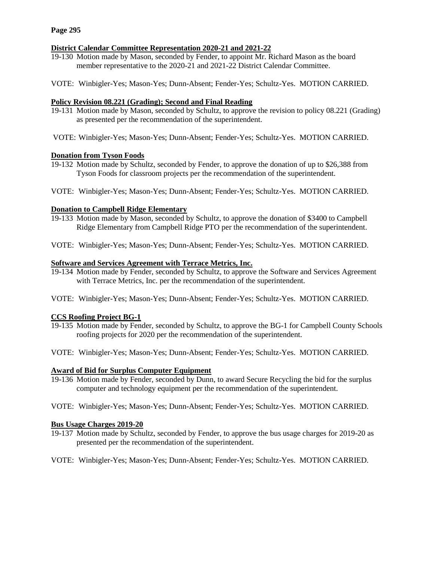# **District Calendar Committee Representation 2020-21 and 2021-22**

- 19-130 Motion made by Mason, seconded by Fender, to appoint Mr. Richard Mason as the board member representative to the 2020-21 and 2021-22 District Calendar Committee.
- VOTE: Winbigler-Yes; Mason-Yes; Dunn-Absent; Fender-Yes; Schultz-Yes. MOTION CARRIED.

## **Policy Revision 08.221 (Grading); Second and Final Reading**

- 19-131 Motion made by Mason, seconded by Schultz, to approve the revision to policy 08.221 (Grading) as presented per the recommendation of the superintendent.
- VOTE: Winbigler-Yes; Mason-Yes; Dunn-Absent; Fender-Yes; Schultz-Yes. MOTION CARRIED.

## **Donation from Tyson Foods**

- 19-132 Motion made by Schultz, seconded by Fender, to approve the donation of up to \$26,388 from Tyson Foods for classroom projects per the recommendation of the superintendent.
- VOTE: Winbigler-Yes; Mason-Yes; Dunn-Absent; Fender-Yes; Schultz-Yes. MOTION CARRIED.

## **Donation to Campbell Ridge Elementary**

- 19-133 Motion made by Mason, seconded by Schultz, to approve the donation of \$3400 to Campbell Ridge Elementary from Campbell Ridge PTO per the recommendation of the superintendent.
- VOTE: Winbigler-Yes; Mason-Yes; Dunn-Absent; Fender-Yes; Schultz-Yes. MOTION CARRIED.

## **Software and Services Agreement with Terrace Metrics, Inc.**

- 19-134 Motion made by Fender, seconded by Schultz, to approve the Software and Services Agreement with Terrace Metrics, Inc. per the recommendation of the superintendent.
- VOTE: Winbigler-Yes; Mason-Yes; Dunn-Absent; Fender-Yes; Schultz-Yes. MOTION CARRIED.

## **CCS Roofing Project BG-1**

- 19-135 Motion made by Fender, seconded by Schultz, to approve the BG-1 for Campbell County Schools roofing projects for 2020 per the recommendation of the superintendent.
- VOTE: Winbigler-Yes; Mason-Yes; Dunn-Absent; Fender-Yes; Schultz-Yes. MOTION CARRIED.

## **Award of Bid for Surplus Computer Equipment**

- 19-136 Motion made by Fender, seconded by Dunn, to award Secure Recycling the bid for the surplus computer and technology equipment per the recommendation of the superintendent.
- VOTE: Winbigler-Yes; Mason-Yes; Dunn-Absent; Fender-Yes; Schultz-Yes. MOTION CARRIED.

## **Bus Usage Charges 2019-20**

19-137 Motion made by Schultz, seconded by Fender, to approve the bus usage charges for 2019-20 as presented per the recommendation of the superintendent.

VOTE: Winbigler-Yes; Mason-Yes; Dunn-Absent; Fender-Yes; Schultz-Yes. MOTION CARRIED.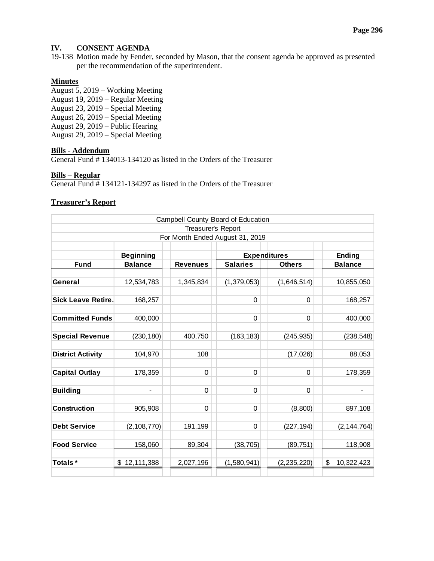# **IV. CONSENT AGENDA**

19-138 Motion made by Fender, seconded by Mason, that the consent agenda be approved as presented per the recommendation of the superintendent.

# **Minutes**

August 5, 2019 – Working Meeting August 19, 2019 – Regular Meeting August 23, 2019 – Special Meeting August 26, 2019 – Special Meeting August 29, 2019 – Public Hearing August 29, 2019 – Special Meeting

#### **Bills - Addendum**

General Fund # 134013-134120 as listed in the Orders of the Treasurer

## **Bills – Regular**

General Fund # 134121-134297 as listed in the Orders of the Treasurer

## **Treasurer's Report**

| Campbell County Board of Education |                  |                 |                               |                |                  |
|------------------------------------|------------------|-----------------|-------------------------------|----------------|------------------|
| Treasurer's Report                 |                  |                 |                               |                |                  |
| For Month Ended August 31, 2019    |                  |                 |                               |                |                  |
|                                    |                  |                 |                               |                |                  |
|                                    | <b>Beginning</b> |                 | <b>Expenditures</b><br>Ending |                |                  |
| <b>Fund</b>                        | <b>Balance</b>   | <b>Revenues</b> | <b>Salaries</b>               | <b>Others</b>  | <b>Balance</b>   |
|                                    |                  |                 |                               |                |                  |
| General                            | 12,534,783       | 1,345,834       | (1,379,053)                   | (1,646,514)    | 10,855,050       |
|                                    |                  |                 |                               |                |                  |
| <b>Sick Leave Retire.</b>          | 168,257          |                 | $\mathbf 0$                   | 0              | 168,257          |
|                                    |                  |                 |                               |                |                  |
| <b>Committed Funds</b>             | 400,000          |                 | 0                             | $\overline{0}$ | 400,000          |
|                                    |                  |                 |                               |                |                  |
| <b>Special Revenue</b>             | (230, 180)       | 400,750         | (163, 183)                    | (245, 935)     | (238, 548)       |
|                                    |                  |                 |                               |                |                  |
| <b>District Activity</b>           | 104,970          | 108             |                               | (17, 026)      | 88,053           |
|                                    |                  |                 |                               |                |                  |
| <b>Capital Outlay</b>              | 178,359          | 0               | 0                             | $\Omega$       | 178,359          |
|                                    |                  |                 |                               |                |                  |
| <b>Building</b>                    | $\blacksquare$   | $\Omega$        | $\Omega$                      | $\Omega$       |                  |
|                                    |                  |                 |                               |                |                  |
| <b>Construction</b>                | 905,908          | 0               | $\Omega$                      | (8,800)        | 897,108          |
|                                    |                  |                 |                               |                |                  |
| <b>Debt Service</b>                | (2, 108, 770)    | 191,199         | 0                             | (227, 194)     | (2, 144, 764)    |
|                                    |                  |                 |                               |                |                  |
| <b>Food Service</b>                | 158,060          | 89,304          | (38, 705)                     | (89, 751)      | 118,908          |
|                                    |                  |                 |                               |                |                  |
| Totals*                            | 12,111,388<br>\$ | 2,027,196       | (1,580,941)                   | (2, 235, 220)  | \$<br>10,322,423 |
|                                    |                  |                 |                               |                |                  |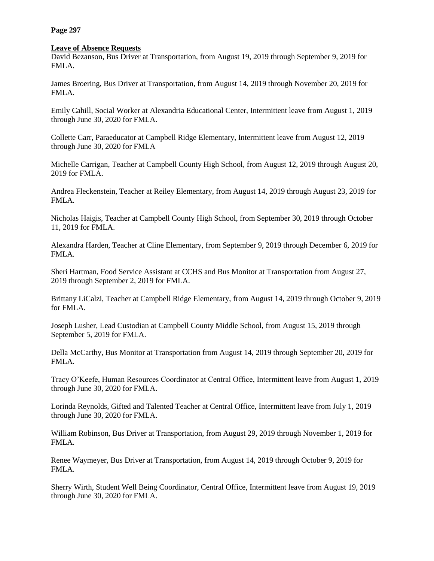**Page 297**

## **Leave of Absence Requests**

David Bezanson, Bus Driver at Transportation, from August 19, 2019 through September 9, 2019 for FMLA.

James Broering, Bus Driver at Transportation, from August 14, 2019 through November 20, 2019 for FMLA.

Emily Cahill, Social Worker at Alexandria Educational Center, Intermittent leave from August 1, 2019 through June 30, 2020 for FMLA.

Collette Carr, Paraeducator at Campbell Ridge Elementary, Intermittent leave from August 12, 2019 through June 30, 2020 for FMLA

Michelle Carrigan, Teacher at Campbell County High School, from August 12, 2019 through August 20, 2019 for FMLA.

Andrea Fleckenstein, Teacher at Reiley Elementary, from August 14, 2019 through August 23, 2019 for FMLA.

Nicholas Haigis, Teacher at Campbell County High School, from September 30, 2019 through October 11, 2019 for FMLA.

Alexandra Harden, Teacher at Cline Elementary, from September 9, 2019 through December 6, 2019 for FMLA.

Sheri Hartman, Food Service Assistant at CCHS and Bus Monitor at Transportation from August 27, 2019 through September 2, 2019 for FMLA.

Brittany LiCalzi, Teacher at Campbell Ridge Elementary, from August 14, 2019 through October 9, 2019 for FMLA.

Joseph Lusher, Lead Custodian at Campbell County Middle School, from August 15, 2019 through September 5, 2019 for FMLA.

Della McCarthy, Bus Monitor at Transportation from August 14, 2019 through September 20, 2019 for FMLA.

Tracy O'Keefe, Human Resources Coordinator at Central Office, Intermittent leave from August 1, 2019 through June 30, 2020 for FMLA.

Lorinda Reynolds, Gifted and Talented Teacher at Central Office, Intermittent leave from July 1, 2019 through June 30, 2020 for FMLA.

William Robinson, Bus Driver at Transportation, from August 29, 2019 through November 1, 2019 for FMLA.

Renee Waymeyer, Bus Driver at Transportation, from August 14, 2019 through October 9, 2019 for FMLA.

Sherry Wirth, Student Well Being Coordinator, Central Office, Intermittent leave from August 19, 2019 through June 30, 2020 for FMLA.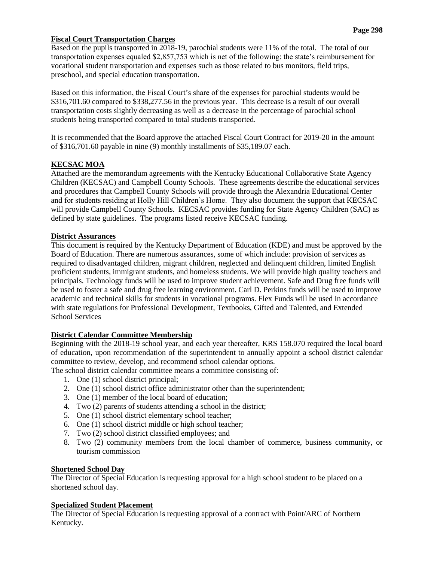# **Fiscal Court Transportation Charges**

Based on the pupils transported in 2018-19, parochial students were 11% of the total. The total of our transportation expenses equaled \$2,857,753 which is net of the following: the state's reimbursement for vocational student transportation and expenses such as those related to bus monitors, field trips, preschool, and special education transportation.

Based on this information, the Fiscal Court's share of the expenses for parochial students would be \$316,701.60 compared to \$338,277.56 in the previous year. This decrease is a result of our overall transportation costs slightly decreasing as well as a decrease in the percentage of parochial school students being transported compared to total students transported.

It is recommended that the Board approve the attached Fiscal Court Contract for 2019-20 in the amount of \$316,701.60 payable in nine (9) monthly installments of \$35,189.07 each.

# **KECSAC MOA**

Attached are the memorandum agreements with the Kentucky Educational Collaborative State Agency Children (KECSAC) and Campbell County Schools. These agreements describe the educational services and procedures that Campbell County Schools will provide through the Alexandria Educational Center and for students residing at Holly Hill Children's Home. They also document the support that KECSAC will provide Campbell County Schools. KECSAC provides funding for State Agency Children (SAC) as defined by state guidelines. The programs listed receive KECSAC funding.

## **District Assurances**

This document is required by the Kentucky Department of Education (KDE) and must be approved by the Board of Education. There are numerous assurances, some of which include: provision of services as required to disadvantaged children, migrant children, neglected and delinquent children, limited English proficient students, immigrant students, and homeless students. We will provide high quality teachers and principals. Technology funds will be used to improve student achievement. Safe and Drug free funds will be used to foster a safe and drug free learning environment. Carl D. Perkins funds will be used to improve academic and technical skills for students in vocational programs. Flex Funds will be used in accordance with state regulations for Professional Development, Textbooks, Gifted and Talented, and Extended School Services

# **District Calendar Committee Membership**

Beginning with the 2018-19 school year, and each year thereafter, KRS 158.070 required the local board of education, upon recommendation of the superintendent to annually appoint a school district calendar committee to review, develop, and recommend school calendar options.

The school district calendar committee means a committee consisting of:

- 1. One (1) school district principal;
- 2. One (1) school district office administrator other than the superintendent;
- 3. One (1) member of the local board of education;
- 4. Two (2) parents of students attending a school in the district;
- 5. One (1) school district elementary school teacher;
- 6. One (1) school district middle or high school teacher;
- 7. Two (2) school district classified employees; and
- 8. Two (2) community members from the local chamber of commerce, business community, or tourism commission

# **Shortened School Day**

The Director of Special Education is requesting approval for a high school student to be placed on a shortened school day.

# **Specialized Student Placement**

The Director of Special Education is requesting approval of a contract with Point/ARC of Northern Kentucky.